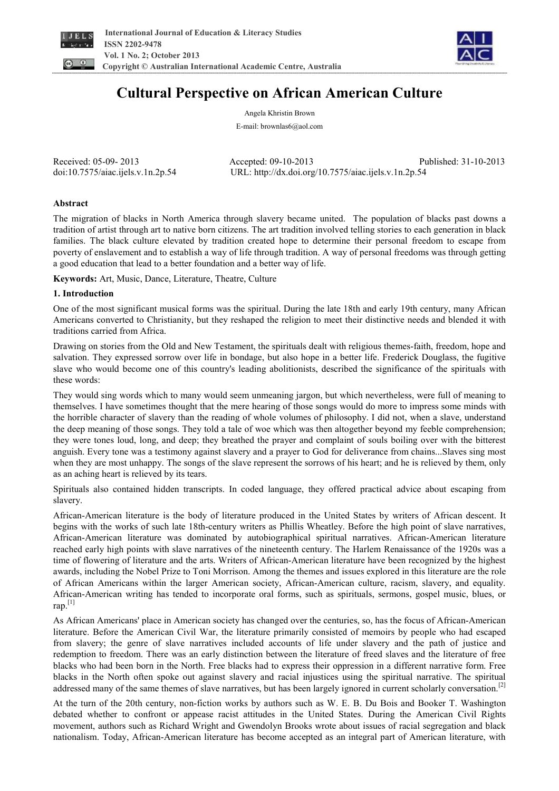



# **Cultural Perspective on African American Culture**

Angela Khristin Brown E-mail: brownlas6@aol.com

Received: 05-09- 2013 Accepted: 09-10-2013 Published: 31-10-2013 doi:10.7575/aiac.ijels.v.1n.2p.54 URL: http://dx.doi.org/10.7575/aiac.ijels.v.1n.2p.54

# **Abstract**

The migration of blacks in North America through slavery became united. The population of blacks past downs a tradition of artist through art to native born citizens. The art tradition involved telling stories to each generation in black families. The black culture elevated by tradition created hope to determine their personal freedom to escape from poverty of enslavement and to establish a way of life through tradition. A way of personal freedoms was through getting a good education that lead to a better foundation and a better way of life.

**Keywords:** Art, Music, Dance, Literature, Theatre, Culture

### **1. Introduction**

One of the most significant musical forms was the spiritual. During the late 18th and early 19th century, many African Americans converted to Christianity, but they reshaped the religion to meet their distinctive needs and blended it with traditions carried from Africa.

Drawing on stories from the Old and New Testament, the spirituals dealt with religious themes-faith, freedom, hope and salvation. They expressed sorrow over life in bondage, but also hope in a better life. Frederick Douglass, the fugitive slave who would become one of this country's leading abolitionists, described the significance of the spirituals with these words:

They would sing words which to many would seem unmeaning jargon, but which nevertheless, were full of meaning to themselves. I have sometimes thought that the mere hearing of those songs would do more to impress some minds with the horrible character of slavery than the reading of whole volumes of philosophy. I did not, when a slave, understand the deep meaning of those songs. They told a tale of woe which was then altogether beyond my feeble comprehension; they were tones loud, long, and deep; they breathed the prayer and complaint of souls boiling over with the bitterest anguish. Every tone was a testimony against slavery and a prayer to God for deliverance from chains...Slaves sing most when they are most unhappy. The songs of the slave represent the sorrows of his heart; and he is relieved by them, only as an aching heart is relieved by its tears.

Spirituals also contained hidden transcripts. In coded language, they offered practical advice about escaping from slavery.

African-American literature is the body of literature produced in the United States by writers of African descent. It begins with the works of such late 18th-century writers as Phillis Wheatley. Before the high point of slave narratives, African-American literature was dominated by autobiographical spiritual narratives. African-American literature reached early high points with slave narratives of the nineteenth century. The Harlem Renaissance of the 1920s was a time of flowering of literature and the arts. Writers of African-American literature have been recognized by the highest awards, including the Nobel Prize to Toni Morrison. Among the themes and issues explored in this literature are the role of African Americans within the larger American society, African-American culture, racism, slavery, and equality. African-American writing has tended to incorporate oral forms, such as spirituals, sermons, gospel music, blues, or rap.[1]

As African Americans' place in American society has changed over the centuries, so, has the focus of African-American literature. Before the American Civil War, the literature primarily consisted of memoirs by people who had escaped from slavery; the genre of slave narratives included accounts of life under slavery and the path of justice and redemption to freedom. There was an early distinction between the literature of freed slaves and the literature of free blacks who had been born in the North. Free blacks had to express their oppression in a different narrative form. Free blacks in the North often spoke out against slavery and racial injustices using the spiritual narrative. The spiritual addressed many of the same themes of slave narratives, but has been largely ignored in current scholarly conversation.<sup>[2]</sup>

At the turn of the 20th century, non-fiction works by authors such as W. E. B. Du Bois and Booker T. Washington debated whether to confront or appease racist attitudes in the United States. During the American Civil Rights movement, authors such as Richard Wright and Gwendolyn Brooks wrote about issues of racial segregation and black nationalism. Today, African-American literature has become accepted as an integral part of American literature, with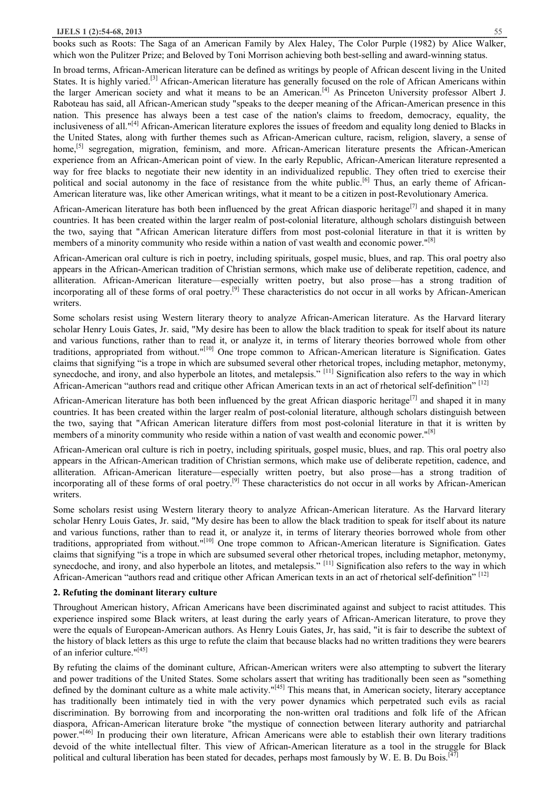books such as Roots: The Saga of an American Family by Alex Haley, The Color Purple (1982) by Alice Walker, which won the Pulitzer Prize; and Beloved by Toni Morrison achieving both best-selling and award-winning status.

In broad terms, African-American literature can be defined as writings by people of African descent living in the United States. It is highly varied.[3] African-American literature has generally focused on the role of African Americans within the larger American society and what it means to be an American.<sup>[4]</sup> As Princeton University professor Albert J. Raboteau has said, all African-American study "speaks to the deeper meaning of the African-American presence in this nation. This presence has always been a test case of the nation's claims to freedom, democracy, equality, the inclusiveness of all."[4] African-American literature explores the issues of freedom and equality long denied to Blacks in the United States, along with further themes such as African-American culture, racism, religion, slavery, a sense of home,<sup>[5]</sup> segregation, migration, feminism, and more. African-American literature presents the African-American experience from an African-American point of view. In the early Republic, African-American literature represented a way for free blacks to negotiate their new identity in an individualized republic. They often tried to exercise their political and social autonomy in the face of resistance from the white public.<sup>[6]</sup> Thus, an early theme of African-American literature was, like other American writings, what it meant to be a citizen in post-Revolutionary America.

African-American literature has both been influenced by the great African diasporic heritage<sup>[7]</sup> and shaped it in many countries. It has been created within the larger realm of post-colonial literature, although scholars distinguish between the two, saying that "African American literature differs from most post-colonial literature in that it is written by members of a minority community who reside within a nation of vast wealth and economic nower."<sup>[8]</sup>

African-American oral culture is rich in poetry, including spirituals, gospel music, blues, and rap. This oral poetry also appears in the African-American tradition of Christian sermons, which make use of deliberate repetition, cadence, and alliteration. African-American literature—especially written poetry, but also prose—has a strong tradition of incorporating all of these forms of oral poetry.<sup>[9]</sup> These characteristics do not occur in all works by African-American writers.

Some scholars resist using Western literary theory to analyze African-American literature. As the Harvard literary scholar Henry Louis Gates, Jr. said, "My desire has been to allow the black tradition to speak for itself about its nature and various functions, rather than to read it, or analyze it, in terms of literary theories borrowed whole from other traditions, appropriated from without."[10] One trope common to African-American literature is Signification. Gates claims that signifying "is a trope in which are subsumed several other rhetorical tropes, including metaphor, metonymy, synecdoche, and irony, and also hyperbole an litotes, and metalepsis."<sup>[11]</sup> Signification also refers to the way in which African-American "authors read and critique other African American texts in an act of rhetorical self-definition" [12]

African-American literature has both been influenced by the great African diasporic heritage<sup>[7]</sup> and shaped it in many countries. It has been created within the larger realm of post-colonial literature, although scholars distinguish between the two, saying that "African American literature differs from most post-colonial literature in that it is written by members of a minority community who reside within a nation of vast wealth and economic power."<sup>[8]</sup>

African-American oral culture is rich in poetry, including spirituals, gospel music, blues, and rap. This oral poetry also appears in the African-American tradition of Christian sermons, which make use of deliberate repetition, cadence, and alliteration. African-American literature—especially written poetry, but also prose—has a strong tradition of incorporating all of these forms of oral poetry.<sup>[9]</sup> These characteristics do not occur in all works by African-American writers.

Some scholars resist using Western literary theory to analyze African-American literature. As the Harvard literary scholar Henry Louis Gates, Jr. said, "My desire has been to allow the black tradition to speak for itself about its nature and various functions, rather than to read it, or analyze it, in terms of literary theories borrowed whole from other traditions, appropriated from without."[10] One trope common to African-American literature is Signification. Gates claims that signifying "is a trope in which are subsumed several other rhetorical tropes, including metaphor, metonymy, synecdoche, and irony, and also hyperbole an litotes, and metalepsis."<sup>[11]</sup> Signification also refers to the way in which African-American "authors read and critique other African American texts in an act of rhetorical self-definition" [12]

#### **2. Refuting the dominant literary culture**

Throughout American history, African Americans have been discriminated against and subject to racist attitudes. This experience inspired some Black writers, at least during the early years of African-American literature, to prove they were the equals of European-American authors. As Henry Louis Gates, Jr, has said, "it is fair to describe the subtext of the history of black letters as this urge to refute the claim that because blacks had no written traditions they were bearers of an inferior culture."<sup>[45]</sup>

By refuting the claims of the dominant culture, African-American writers were also attempting to subvert the literary and power traditions of the United States. Some scholars assert that writing has traditionally been seen as "something defined by the dominant culture as a white male activity."<sup>[45]</sup> This means that, in American society, literary acceptance has traditionally been intimately tied in with the very power dynamics which perpetrated such evils as racial discrimination. By borrowing from and incorporating the non-written oral traditions and folk life of the African diaspora, African-American literature broke "the mystique of connection between literary authority and patriarchal power."[46] In producing their own literature, African Americans were able to establish their own literary traditions devoid of the white intellectual filter. This view of African-American literature as a tool in the struggle for Black political and cultural liberation has been stated for decades, perhaps most famously by W. E. B. Du Bois.<sup>[47]</sup>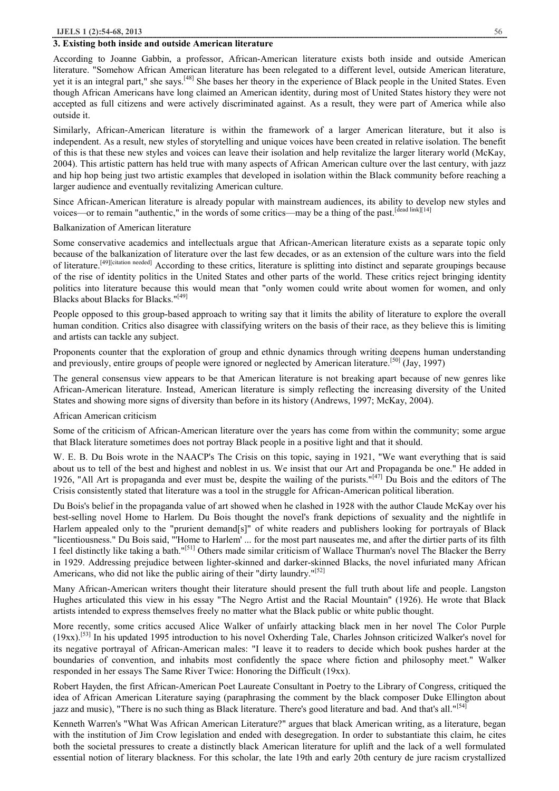#### **3. Existing both inside and outside American literature**

According to Joanne Gabbin, a professor, African-American literature exists both inside and outside American literature. "Somehow African American literature has been relegated to a different level, outside American literature, yet it is an integral part," she says.[48] She bases her theory in the experience of Black people in the United States. Even though African Americans have long claimed an American identity, during most of United States history they were not accepted as full citizens and were actively discriminated against. As a result, they were part of America while also outside it.

Similarly, African-American literature is within the framework of a larger American literature, but it also is independent. As a result, new styles of storytelling and unique voices have been created in relative isolation. The benefit of this is that these new styles and voices can leave their isolation and help revitalize the larger literary world (McKay, 2004). This artistic pattern has held true with many aspects of African American culture over the last century, with jazz and hip hop being just two artistic examples that developed in isolation within the Black community before reaching a larger audience and eventually revitalizing American culture.

Since African-American literature is already popular with mainstream audiences, its ability to develop new styles and voices—or to remain "authentic," in the words of some critics—may be a thing of the past.<sup>[dead link][14]</sup>

#### Balkanization of American literature

Some conservative academics and intellectuals argue that African-American literature exists as a separate topic only because of the balkanization of literature over the last few decades, or as an extension of the culture wars into the field of literature.[49][citation needed] According to these critics, literature is splitting into distinct and separate groupings because of the rise of identity politics in the United States and other parts of the world. These critics reject bringing identity politics into literature because this would mean that "only women could write about women for women, and only Blacks about Blacks for Blacks."[49]

People opposed to this group-based approach to writing say that it limits the ability of literature to explore the overall human condition. Critics also disagree with classifying writers on the basis of their race, as they believe this is limiting and artists can tackle any subject.

Proponents counter that the exploration of group and ethnic dynamics through writing deepens human understanding and previously, entire groups of people were ignored or neglected by American literature.<sup>[50]</sup> (Jay, 1997)

The general consensus view appears to be that American literature is not breaking apart because of new genres like African-American literature. Instead, American literature is simply reflecting the increasing diversity of the United States and showing more signs of diversity than before in its history (Andrews, 1997; McKay, 2004).

#### African American criticism

Some of the criticism of African-American literature over the years has come from within the community; some argue that Black literature sometimes does not portray Black people in a positive light and that it should.

W. E. B. Du Bois wrote in the NAACP's The Crisis on this topic, saying in 1921, "We want everything that is said about us to tell of the best and highest and noblest in us. We insist that our Art and Propaganda be one." He added in 1926, "All Art is propaganda and ever must be, despite the wailing of the purists."<sup>[47]</sup> Du Bois and the editors of The Crisis consistently stated that literature was a tool in the struggle for African-American political liberation.

Du Bois's belief in the propaganda value of art showed when he clashed in 1928 with the author Claude McKay over his best-selling novel Home to Harlem. Du Bois thought the novel's frank depictions of sexuality and the nightlife in Harlem appealed only to the "prurient demand[s]" of white readers and publishers looking for portrayals of Black "licentiousness." Du Bois said, "'Home to Harlem' ... for the most part nauseates me, and after the dirtier parts of its filth I feel distinctly like taking a bath."[51] Others made similar criticism of Wallace Thurman's novel The Blacker the Berry in 1929. Addressing prejudice between lighter-skinned and darker-skinned Blacks, the novel infuriated many African Americans, who did not like the public airing of their "dirty laundry."<sup>[52]</sup>

Many African-American writers thought their literature should present the full truth about life and people. Langston Hughes articulated this view in his essay "The Negro Artist and the Racial Mountain" (1926). He wrote that Black artists intended to express themselves freely no matter what the Black public or white public thought.

More recently, some critics accused Alice Walker of unfairly attacking black men in her novel The Color Purple (19xx).[53] In his updated 1995 introduction to his novel Oxherding Tale, Charles Johnson criticized Walker's novel for its negative portrayal of African-American males: "I leave it to readers to decide which book pushes harder at the boundaries of convention, and inhabits most confidently the space where fiction and philosophy meet." Walker responded in her essays The Same River Twice: Honoring the Difficult (19xx).

Robert Hayden, the first African-American Poet Laureate Consultant in Poetry to the Library of Congress, critiqued the idea of African American Literature saying (paraphrasing the comment by the black composer Duke Ellington about jazz and music), "There is no such thing as Black literature. There's good literature and bad. And that's all."<sup>[54]</sup>

Kenneth Warren's "What Was African American Literature?" argues that black American writing, as a literature, began with the institution of Jim Crow legislation and ended with desegregation. In order to substantiate this claim, he cites both the societal pressures to create a distinctly black American literature for uplift and the lack of a well formulated essential notion of literary blackness. For this scholar, the late 19th and early 20th century de jure racism crystallized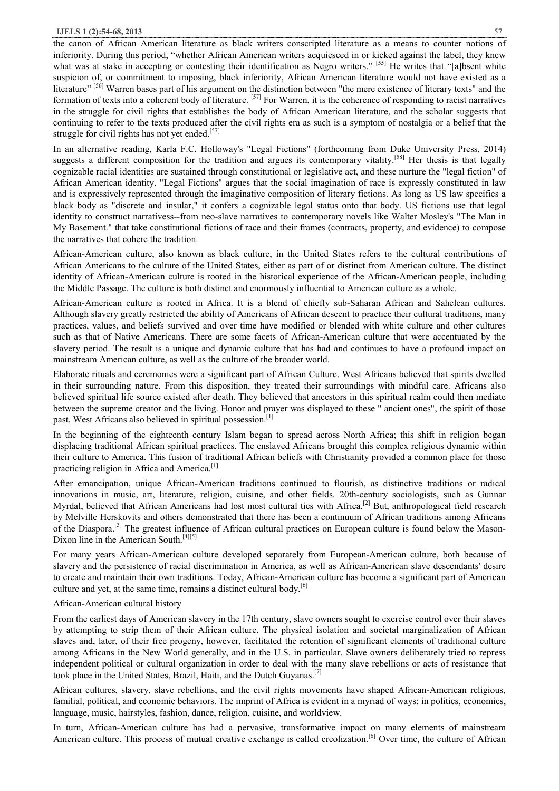the canon of African American literature as black writers conscripted literature as a means to counter notions of inferiority. During this period, "whether African American writers acquiesced in or kicked against the label, they knew what was at stake in accepting or contesting their identification as Negro writers." [55] He writes that "[a]bsent white suspicion of, or commitment to imposing, black inferiority, African American literature would not have existed as a literature" [56] Warren bases part of his argument on the distinction between "the mere existence of literary texts" and the formation of texts into a coherent body of literature. <sup>[57]</sup> For Warren, it is the coherence of responding to racist narratives in the struggle for civil rights that establishes the body of African American literature, and the scholar suggests that continuing to refer to the texts produced after the civil rights era as such is a symptom of nostalgia or a belief that the struggle for civil rights has not yet ended.<sup>[57]</sup>

In an alternative reading, Karla F.C. Holloway's "Legal Fictions" (forthcoming from Duke University Press, 2014) suggests a different composition for the tradition and argues its contemporary vitality.<sup>[58]</sup> Her thesis is that legally cognizable racial identities are sustained through constitutional or legislative act, and these nurture the "legal fiction" of African American identity. "Legal Fictions" argues that the social imagination of race is expressly constituted in law and is expressively represented through the imaginative composition of literary fictions. As long as US law specifies a black body as "discrete and insular," it confers a cognizable legal status onto that body. US fictions use that legal identity to construct narrativess--from neo-slave narratives to contemporary novels like Walter Mosley's "The Man in My Basement." that take constitutional fictions of race and their frames (contracts, property, and evidence) to compose the narratives that cohere the tradition.

African-American culture, also known as black culture, in the United States refers to the cultural contributions of African Americans to the culture of the United States, either as part of or distinct from American culture. The distinct identity of African-American culture is rooted in the historical experience of the African-American people, including the Middle Passage. The culture is both distinct and enormously influential to American culture as a whole.

African-American culture is rooted in Africa. It is a blend of chiefly sub-Saharan African and Sahelean cultures. Although slavery greatly restricted the ability of Americans of African descent to practice their cultural traditions, many practices, values, and beliefs survived and over time have modified or blended with white culture and other cultures such as that of Native Americans. There are some facets of African-American culture that were accentuated by the slavery period. The result is a unique and dynamic culture that has had and continues to have a profound impact on mainstream American culture, as well as the culture of the broader world.

Elaborate rituals and ceremonies were a significant part of African Culture. West Africans believed that spirits dwelled in their surrounding nature. From this disposition, they treated their surroundings with mindful care. Africans also believed spiritual life source existed after death. They believed that ancestors in this spiritual realm could then mediate between the supreme creator and the living. Honor and prayer was displayed to these " ancient ones", the spirit of those past. West Africans also believed in spiritual possession.<sup>[1]</sup>

In the beginning of the eighteenth century Islam began to spread across North Africa; this shift in religion began displacing traditional African spiritual practices. The enslaved Africans brought this complex religious dynamic within their culture to America. This fusion of traditional African beliefs with Christianity provided a common place for those practicing religion in Africa and America.<sup>[1]</sup>

After emancipation, unique African-American traditions continued to flourish, as distinctive traditions or radical innovations in music, art, literature, religion, cuisine, and other fields. 20th-century sociologists, such as Gunnar Myrdal, believed that African Americans had lost most cultural ties with Africa.<sup>[2]</sup> But, anthropological field research by Melville Herskovits and others demonstrated that there has been a continuum of African traditions among Africans of the Diaspora.<sup>[3]</sup> The greatest influence of African cultural practices on European culture is found below the Mason-Dixon line in the American South.[4][5]

For many years African-American culture developed separately from European-American culture, both because of slavery and the persistence of racial discrimination in America, as well as African-American slave descendants' desire to create and maintain their own traditions. Today, African-American culture has become a significant part of American culture and yet, at the same time, remains a distinct cultural body.<sup>[6]</sup>

#### African-American cultural history

From the earliest days of American slavery in the 17th century, slave owners sought to exercise control over their slaves by attempting to strip them of their African culture. The physical isolation and societal marginalization of African slaves and, later, of their free progeny, however, facilitated the retention of significant elements of traditional culture among Africans in the New World generally, and in the U.S. in particular. Slave owners deliberately tried to repress independent political or cultural organization in order to deal with the many slave rebellions or acts of resistance that took place in the United States, Brazil, Haiti, and the Dutch Guyanas.<sup>[7]</sup>

African cultures, slavery, slave rebellions, and the civil rights movements have shaped African-American religious, familial, political, and economic behaviors. The imprint of Africa is evident in a myriad of ways: in politics, economics, language, music, hairstyles, fashion, dance, religion, cuisine, and worldview.

In turn, African-American culture has had a pervasive, transformative impact on many elements of mainstream American culture. This process of mutual creative exchange is called creolization.<sup>[6]</sup> Over time, the culture of African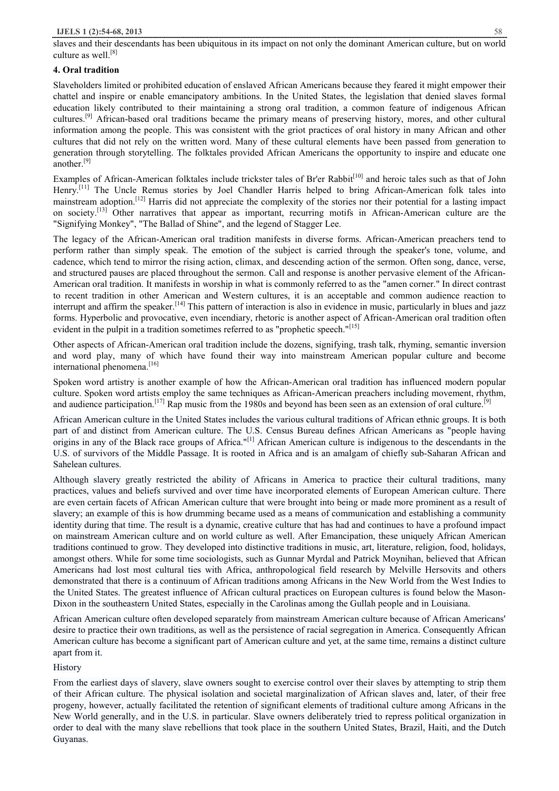slaves and their descendants has been ubiquitous in its impact on not only the dominant American culture, but on world culture as well. $^{[8]}$ 

# **4. Oral tradition**

Slaveholders limited or prohibited education of enslaved African Americans because they feared it might empower their chattel and inspire or enable emancipatory ambitions. In the United States, the legislation that denied slaves formal education likely contributed to their maintaining a strong oral tradition, a common feature of indigenous African cultures.[9] African-based oral traditions became the primary means of preserving history, mores, and other cultural information among the people. This was consistent with the griot practices of oral history in many African and other cultures that did not rely on the written word. Many of these cultural elements have been passed from generation to generation through storytelling. The folktales provided African Americans the opportunity to inspire and educate one another $^{[9]}$ 

Examples of African-American folktales include trickster tales of Br'er Rabbit<sup>[10]</sup> and heroic tales such as that of John Henry.<sup>[11]</sup> The Uncle Remus stories by Joel Chandler Harris helped to bring African-American folk tales into mainstream adoption.[12] Harris did not appreciate the complexity of the stories nor their potential for a lasting impact on society.<sup>[13]</sup> Other narratives that appear as important, recurring motifs in African-American culture are the "Signifying Monkey", "The Ballad of Shine", and the legend of Stagger Lee.

The legacy of the African-American oral tradition manifests in diverse forms. African-American preachers tend to perform rather than simply speak. The emotion of the subject is carried through the speaker's tone, volume, and cadence, which tend to mirror the rising action, climax, and descending action of the sermon. Often song, dance, verse, and structured pauses are placed throughout the sermon. Call and response is another pervasive element of the African-American oral tradition. It manifests in worship in what is commonly referred to as the "amen corner." In direct contrast to recent tradition in other American and Western cultures, it is an acceptable and common audience reaction to interrupt and affirm the speaker.<sup>[14]</sup> This pattern of interaction is also in evidence in music, particularly in blues and jazz forms. Hyperbolic and provocative, even incendiary, rhetoric is another aspect of African-American oral tradition often evident in the pulpit in a tradition sometimes referred to as "prophetic speech."<sup>[15]</sup>

Other aspects of African-American oral tradition include the dozens, signifying, trash talk, rhyming, semantic inversion and word play, many of which have found their way into mainstream American popular culture and become international phenomena.<sup>[16]</sup>

Spoken word artistry is another example of how the African-American oral tradition has influenced modern popular culture. Spoken word artists employ the same techniques as African-American preachers including movement, rhythm, and audience participation.<sup>[17]</sup> Rap music from the 1980s and beyond has been seen as an extension of oral culture.<sup>[9]</sup>

African American culture in the United States includes the various cultural traditions of African ethnic groups. It is both part of and distinct from American culture. The U.S. Census Bureau defines African Americans as "people having origins in any of the Black race groups of Africa."[1] African American culture is indigenous to the descendants in the U.S. of survivors of the Middle Passage. It is rooted in Africa and is an amalgam of chiefly sub-Saharan African and Sahelean cultures.

Although slavery greatly restricted the ability of Africans in America to practice their cultural traditions, many practices, values and beliefs survived and over time have incorporated elements of European American culture. There are even certain facets of African American culture that were brought into being or made more prominent as a result of slavery; an example of this is how drumming became used as a means of communication and establishing a community identity during that time. The result is a dynamic, creative culture that has had and continues to have a profound impact on mainstream American culture and on world culture as well. After Emancipation, these uniquely African American traditions continued to grow. They developed into distinctive traditions in music, art, literature, religion, food, holidays, amongst others. While for some time sociologists, such as Gunnar Myrdal and Patrick Moynihan, believed that African Americans had lost most cultural ties with Africa, anthropological field research by Melville Hersovits and others demonstrated that there is a continuum of African traditions among Africans in the New World from the West Indies to the United States. The greatest influence of African cultural practices on European cultures is found below the Mason-Dixon in the southeastern United States, especially in the Carolinas among the Gullah people and in Louisiana.

African American culture often developed separately from mainstream American culture because of African Americans' desire to practice their own traditions, as well as the persistence of racial segregation in America. Consequently African American culture has become a significant part of American culture and yet, at the same time, remains a distinct culture apart from it.

**History** 

From the earliest days of slavery, slave owners sought to exercise control over their slaves by attempting to strip them of their African culture. The physical isolation and societal marginalization of African slaves and, later, of their free progeny, however, actually facilitated the retention of significant elements of traditional culture among Africans in the New World generally, and in the U.S. in particular. Slave owners deliberately tried to repress political organization in order to deal with the many slave rebellions that took place in the southern United States, Brazil, Haiti, and the Dutch Guyanas.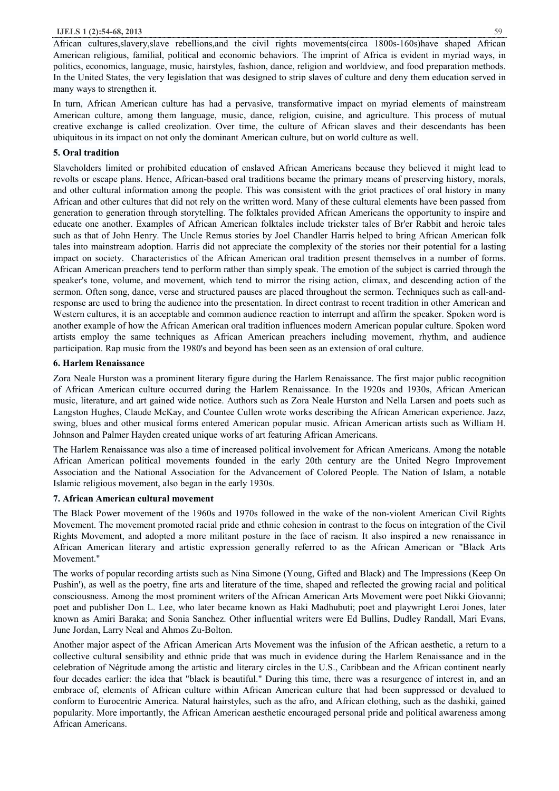African cultures,slavery,slave rebellions,and the civil rights movements(circa 1800s-160s)have shaped African American religious, familial, political and economic behaviors. The imprint of Africa is evident in myriad ways, in politics, economics, language, music, hairstyles, fashion, dance, religion and worldview, and food preparation methods. In the United States, the very legislation that was designed to strip slaves of culture and deny them education served in many ways to strengthen it.

In turn, African American culture has had a pervasive, transformative impact on myriad elements of mainstream American culture, among them language, music, dance, religion, cuisine, and agriculture. This process of mutual creative exchange is called creolization. Over time, the culture of African slaves and their descendants has been ubiquitous in its impact on not only the dominant American culture, but on world culture as well.

## **5. Oral tradition**

Slaveholders limited or prohibited education of enslaved African Americans because they believed it might lead to revolts or escape plans. Hence, African-based oral traditions became the primary means of preserving history, morals, and other cultural information among the people. This was consistent with the griot practices of oral history in many African and other cultures that did not rely on the written word. Many of these cultural elements have been passed from generation to generation through storytelling. The folktales provided African Americans the opportunity to inspire and educate one another. Examples of African American folktales include trickster tales of Br'er Rabbit and heroic tales such as that of John Henry. The Uncle Remus stories by Joel Chandler Harris helped to bring African American folk tales into mainstream adoption. Harris did not appreciate the complexity of the stories nor their potential for a lasting impact on society. Characteristics of the African American oral tradition present themselves in a number of forms. African American preachers tend to perform rather than simply speak. The emotion of the subject is carried through the speaker's tone, volume, and movement, which tend to mirror the rising action, climax, and descending action of the sermon. Often song, dance, verse and structured pauses are placed throughout the sermon. Techniques such as call-andresponse are used to bring the audience into the presentation. In direct contrast to recent tradition in other American and Western cultures, it is an acceptable and common audience reaction to interrupt and affirm the speaker. Spoken word is another example of how the African American oral tradition influences modern American popular culture. Spoken word artists employ the same techniques as African American preachers including movement, rhythm, and audience participation. Rap music from the 1980's and beyond has been seen as an extension of oral culture.

## **6. Harlem Renaissance**

Zora Neale Hurston was a prominent literary figure during the Harlem Renaissance. The first major public recognition of African American culture occurred during the Harlem Renaissance. In the 1920s and 1930s, African American music, literature, and art gained wide notice. Authors such as Zora Neale Hurston and Nella Larsen and poets such as Langston Hughes, Claude McKay, and Countee Cullen wrote works describing the African American experience. Jazz, swing, blues and other musical forms entered American popular music. African American artists such as William H. Johnson and Palmer Hayden created unique works of art featuring African Americans.

The Harlem Renaissance was also a time of increased political involvement for African Americans. Among the notable African American political movements founded in the early 20th century are the United Negro Improvement Association and the National Association for the Advancement of Colored People. The Nation of Islam, a notable Islamic religious movement, also began in the early 1930s.

# **7. African American cultural movement**

The Black Power movement of the 1960s and 1970s followed in the wake of the non-violent American Civil Rights Movement. The movement promoted racial pride and ethnic cohesion in contrast to the focus on integration of the Civil Rights Movement, and adopted a more militant posture in the face of racism. It also inspired a new renaissance in African American literary and artistic expression generally referred to as the African American or "Black Arts Movement."

The works of popular recording artists such as Nina Simone (Young, Gifted and Black) and The Impressions (Keep On Pushin'), as well as the poetry, fine arts and literature of the time, shaped and reflected the growing racial and political consciousness. Among the most prominent writers of the African American Arts Movement were poet Nikki Giovanni; poet and publisher Don L. Lee, who later became known as Haki Madhubuti; poet and playwright Leroi Jones, later known as Amiri Baraka; and Sonia Sanchez. Other influential writers were Ed Bullins, Dudley Randall, Mari Evans, June Jordan, Larry Neal and Ahmos Zu-Bolton.

Another major aspect of the African American Arts Movement was the infusion of the African aesthetic, a return to a collective cultural sensibility and ethnic pride that was much in evidence during the Harlem Renaissance and in the celebration of Négritude among the artistic and literary circles in the U.S., Caribbean and the African continent nearly four decades earlier: the idea that "black is beautiful." During this time, there was a resurgence of interest in, and an embrace of, elements of African culture within African American culture that had been suppressed or devalued to conform to Eurocentric America. Natural hairstyles, such as the afro, and African clothing, such as the dashiki, gained popularity. More importantly, the African American aesthetic encouraged personal pride and political awareness among African Americans.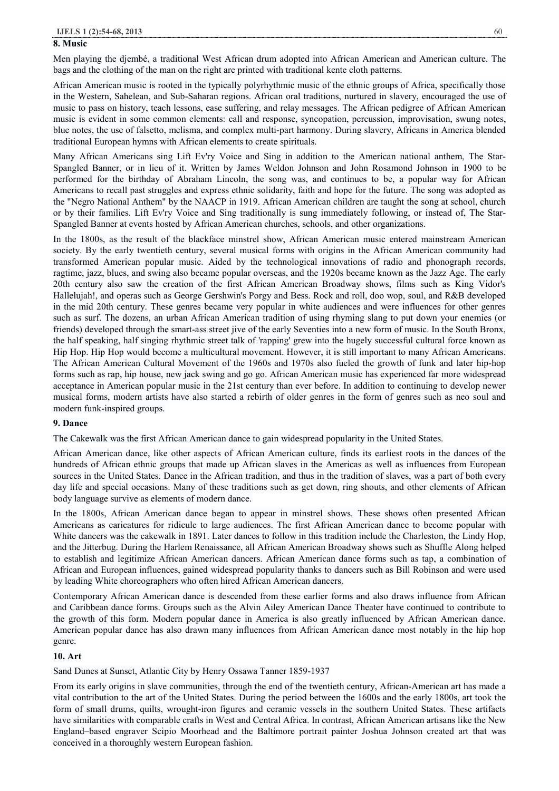#### **8. Music**

Men playing the djembé, a traditional West African drum adopted into African American and American culture. The bags and the clothing of the man on the right are printed with traditional kente cloth patterns.

African American music is rooted in the typically polyrhythmic music of the ethnic groups of Africa, specifically those in the Western, Sahelean, and Sub-Saharan regions. African oral traditions, nurtured in slavery, encouraged the use of music to pass on history, teach lessons, ease suffering, and relay messages. The African pedigree of African American music is evident in some common elements: call and response, syncopation, percussion, improvisation, swung notes, blue notes, the use of falsetto, melisma, and complex multi-part harmony. During slavery, Africans in America blended traditional European hymns with African elements to create spirituals.

Many African Americans sing Lift Ev'ry Voice and Sing in addition to the American national anthem, The Star-Spangled Banner, or in lieu of it. Written by James Weldon Johnson and John Rosamond Johnson in 1900 to be performed for the birthday of Abraham Lincoln, the song was, and continues to be, a popular way for African Americans to recall past struggles and express ethnic solidarity, faith and hope for the future. The song was adopted as the "Negro National Anthem" by the NAACP in 1919. African American children are taught the song at school, church or by their families. Lift Ev'ry Voice and Sing traditionally is sung immediately following, or instead of, The Star-Spangled Banner at events hosted by African American churches, schools, and other organizations.

In the 1800s, as the result of the blackface minstrel show, African American music entered mainstream American society. By the early twentieth century, several musical forms with origins in the African American community had transformed American popular music. Aided by the technological innovations of radio and phonograph records, ragtime, jazz, blues, and swing also became popular overseas, and the 1920s became known as the Jazz Age. The early 20th century also saw the creation of the first African American Broadway shows, films such as King Vidor's Hallelujah!, and operas such as George Gershwin's Porgy and Bess. Rock and roll, doo wop, soul, and R&B developed in the mid 20th century. These genres became very popular in white audiences and were influences for other genres such as surf. The dozens, an urban African American tradition of using rhyming slang to put down your enemies (or friends) developed through the smart-ass street jive of the early Seventies into a new form of music. In the South Bronx, the half speaking, half singing rhythmic street talk of 'rapping' grew into the hugely successful cultural force known as Hip Hop. Hip Hop would become a multicultural movement. However, it is still important to many African Americans. The African American Cultural Movement of the 1960s and 1970s also fueled the growth of funk and later hip-hop forms such as rap, hip house, new jack swing and go go. African American music has experienced far more widespread acceptance in American popular music in the 21st century than ever before. In addition to continuing to develop newer musical forms, modern artists have also started a rebirth of older genres in the form of genres such as neo soul and modern funk-inspired groups.

#### **9. Dance**

The Cakewalk was the first African American dance to gain widespread popularity in the United States.

African American dance, like other aspects of African American culture, finds its earliest roots in the dances of the hundreds of African ethnic groups that made up African slaves in the Americas as well as influences from European sources in the United States. Dance in the African tradition, and thus in the tradition of slaves, was a part of both every day life and special occasions. Many of these traditions such as get down, ring shouts, and other elements of African body language survive as elements of modern dance.

In the 1800s, African American dance began to appear in minstrel shows. These shows often presented African Americans as caricatures for ridicule to large audiences. The first African American dance to become popular with White dancers was the cakewalk in 1891. Later dances to follow in this tradition include the Charleston, the Lindy Hop, and the Jitterbug. During the Harlem Renaissance, all African American Broadway shows such as Shuffle Along helped to establish and legitimize African American dancers. African American dance forms such as tap, a combination of African and European influences, gained widespread popularity thanks to dancers such as Bill Robinson and were used by leading White choreographers who often hired African American dancers.

Contemporary African American dance is descended from these earlier forms and also draws influence from African and Caribbean dance forms. Groups such as the Alvin Ailey American Dance Theater have continued to contribute to the growth of this form. Modern popular dance in America is also greatly influenced by African American dance. American popular dance has also drawn many influences from African American dance most notably in the hip hop genre.

#### **10. Art**

#### Sand Dunes at Sunset, Atlantic City by Henry Ossawa Tanner 1859-1937

From its early origins in slave communities, through the end of the twentieth century, African-American art has made a vital contribution to the art of the United States. During the period between the 1600s and the early 1800s, art took the form of small drums, quilts, wrought-iron figures and ceramic vessels in the southern United States. These artifacts have similarities with comparable crafts in West and Central Africa. In contrast, African American artisans like the New England–based engraver Scipio Moorhead and the Baltimore portrait painter Joshua Johnson created art that was conceived in a thoroughly western European fashion.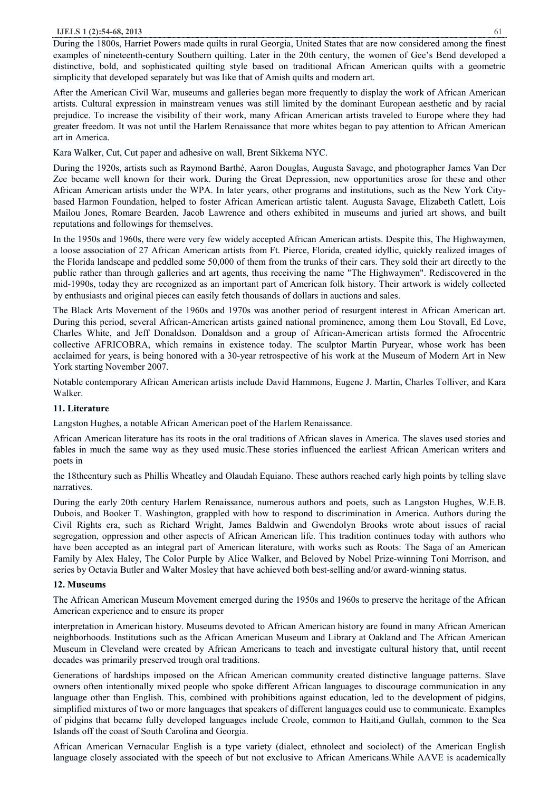#### **IJELS 1 (2):54-68, 2013** 61

During the 1800s, Harriet Powers made quilts in rural Georgia, United States that are now considered among the finest examples of nineteenth-century Southern quilting. Later in the 20th century, the women of Gee's Bend developed a distinctive, bold, and sophisticated quilting style based on traditional African American quilts with a geometric simplicity that developed separately but was like that of Amish quilts and modern art.

After the American Civil War, museums and galleries began more frequently to display the work of African American artists. Cultural expression in mainstream venues was still limited by the dominant European aesthetic and by racial prejudice. To increase the visibility of their work, many African American artists traveled to Europe where they had greater freedom. It was not until the Harlem Renaissance that more whites began to pay attention to African American art in America.

Kara Walker, Cut, Cut paper and adhesive on wall, Brent Sikkema NYC.

During the 1920s, artists such as Raymond Barthé, Aaron Douglas, Augusta Savage, and photographer James Van Der Zee became well known for their work. During the Great Depression, new opportunities arose for these and other African American artists under the WPA. In later years, other programs and institutions, such as the New York Citybased Harmon Foundation, helped to foster African American artistic talent. Augusta Savage, Elizabeth Catlett, Lois Mailou Jones, Romare Bearden, Jacob Lawrence and others exhibited in museums and juried art shows, and built reputations and followings for themselves.

In the 1950s and 1960s, there were very few widely accepted African American artists. Despite this, The Highwaymen, a loose association of 27 African American artists from Ft. Pierce, Florida, created idyllic, quickly realized images of the Florida landscape and peddled some 50,000 of them from the trunks of their cars. They sold their art directly to the public rather than through galleries and art agents, thus receiving the name "The Highwaymen". Rediscovered in the mid-1990s, today they are recognized as an important part of American folk history. Their artwork is widely collected by enthusiasts and original pieces can easily fetch thousands of dollars in auctions and sales.

The Black Arts Movement of the 1960s and 1970s was another period of resurgent interest in African American art. During this period, several African-American artists gained national prominence, among them Lou Stovall, Ed Love, Charles White, and Jeff Donaldson. Donaldson and a group of African-American artists formed the Afrocentric collective AFRICOBRA, which remains in existence today. The sculptor Martin Puryear, whose work has been acclaimed for years, is being honored with a 30-year retrospective of his work at the Museum of Modern Art in New York starting November 2007.

Notable contemporary African American artists include David Hammons, Eugene J. Martin, Charles Tolliver, and Kara Walker.

# **11. Literature**

Langston Hughes, a notable African American poet of the Harlem Renaissance.

African American literature has its roots in the oral traditions of African slaves in America. The slaves used stories and fables in much the same way as they used music.These stories influenced the earliest African American writers and poets in

the 18thcentury such as Phillis Wheatley and Olaudah Equiano. These authors reached early high points by telling slave narratives.

During the early 20th century Harlem Renaissance, numerous authors and poets, such as Langston Hughes, W.E.B. Dubois, and Booker T. Washington, grappled with how to respond to discrimination in America. Authors during the Civil Rights era, such as Richard Wright, James Baldwin and Gwendolyn Brooks wrote about issues of racial segregation, oppression and other aspects of African American life. This tradition continues today with authors who have been accepted as an integral part of American literature, with works such as Roots: The Saga of an American Family by Alex Haley, The Color Purple by Alice Walker, and Beloved by Nobel Prize-winning Toni Morrison, and series by Octavia Butler and Walter Mosley that have achieved both best-selling and/or award-winning status.

#### **12. Museums**

The African American Museum Movement emerged during the 1950s and 1960s to preserve the heritage of the African American experience and to ensure its proper

interpretation in American history. Museums devoted to African American history are found in many African American neighborhoods. Institutions such as the African American Museum and Library at Oakland and The African American Museum in Cleveland were created by African Americans to teach and investigate cultural history that, until recent decades was primarily preserved trough oral traditions.

Generations of hardships imposed on the African American community created distinctive language patterns. Slave owners often intentionally mixed people who spoke different African languages to discourage communication in any language other than English. This, combined with prohibitions against education, led to the development of pidgins, simplified mixtures of two or more languages that speakers of different languages could use to communicate. Examples of pidgins that became fully developed languages include Creole, common to Haiti,and Gullah, common to the Sea Islands off the coast of South Carolina and Georgia.

African American Vernacular English is a type variety (dialect, ethnolect and sociolect) of the American English language closely associated with the speech of but not exclusive to African Americans.While AAVE is academically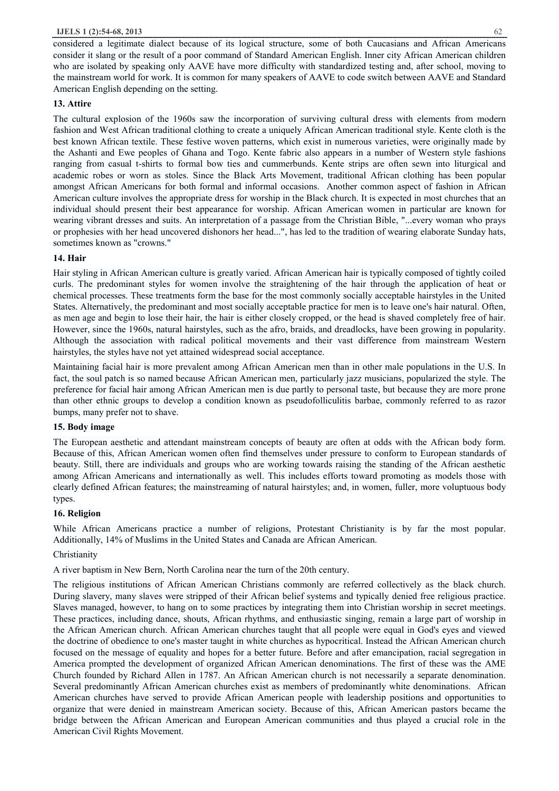considered a legitimate dialect because of its logical structure, some of both Caucasians and African Americans consider it slang or the result of a poor command of Standard American English. Inner city African American children who are isolated by speaking only AAVE have more difficulty with standardized testing and, after school, moving to the mainstream world for work. It is common for many speakers of AAVE to code switch between AAVE and Standard American English depending on the setting.

# **13. Attire**

The cultural explosion of the 1960s saw the incorporation of surviving cultural dress with elements from modern fashion and West African traditional clothing to create a uniquely African American traditional style. Kente cloth is the best known African textile. These festive woven patterns, which exist in numerous varieties, were originally made by the Ashanti and Ewe peoples of Ghana and Togo. Kente fabric also appears in a number of Western style fashions ranging from casual t-shirts to formal bow ties and cummerbunds. Kente strips are often sewn into liturgical and academic robes or worn as stoles. Since the Black Arts Movement, traditional African clothing has been popular amongst African Americans for both formal and informal occasions. Another common aspect of fashion in African American culture involves the appropriate dress for worship in the Black church. It is expected in most churches that an individual should present their best appearance for worship. African American women in particular are known for wearing vibrant dresses and suits. An interpretation of a passage from the Christian Bible, "...every woman who prays or prophesies with her head uncovered dishonors her head...", has led to the tradition of wearing elaborate Sunday hats, sometimes known as "crowns."

# **14. Hair**

Hair styling in African American culture is greatly varied. African American hair is typically composed of tightly coiled curls. The predominant styles for women involve the straightening of the hair through the application of heat or chemical processes. These treatments form the base for the most commonly socially acceptable hairstyles in the United States. Alternatively, the predominant and most socially acceptable practice for men is to leave one's hair natural. Often, as men age and begin to lose their hair, the hair is either closely cropped, or the head is shaved completely free of hair. However, since the 1960s, natural hairstyles, such as the afro, braids, and dreadlocks, have been growing in popularity. Although the association with radical political movements and their vast difference from mainstream Western hairstyles, the styles have not yet attained widespread social acceptance.

Maintaining facial hair is more prevalent among African American men than in other male populations in the U.S. In fact, the soul patch is so named because African American men, particularly jazz musicians, popularized the style. The preference for facial hair among African American men is due partly to personal taste, but because they are more prone than other ethnic groups to develop a condition known as pseudofolliculitis barbae, commonly referred to as razor bumps, many prefer not to shave.

# **15. Body image**

The European aesthetic and attendant mainstream concepts of beauty are often at odds with the African body form. Because of this, African American women often find themselves under pressure to conform to European standards of beauty. Still, there are individuals and groups who are working towards raising the standing of the African aesthetic among African Americans and internationally as well. This includes efforts toward promoting as models those with clearly defined African features; the mainstreaming of natural hairstyles; and, in women, fuller, more voluptuous body types.

# **16. Religion**

While African Americans practice a number of religions, Protestant Christianity is by far the most popular. Additionally, 14% of Muslims in the United States and Canada are African American.

# Christianity

A river baptism in New Bern, North Carolina near the turn of the 20th century.

The religious institutions of African American Christians commonly are referred collectively as the black church. During slavery, many slaves were stripped of their African belief systems and typically denied free religious practice. Slaves managed, however, to hang on to some practices by integrating them into Christian worship in secret meetings. These practices, including dance, shouts, African rhythms, and enthusiastic singing, remain a large part of worship in the African American church. African American churches taught that all people were equal in God's eyes and viewed the doctrine of obedience to one's master taught in white churches as hypocritical. Instead the African American church focused on the message of equality and hopes for a better future. Before and after emancipation, racial segregation in America prompted the development of organized African American denominations. The first of these was the AME Church founded by Richard Allen in 1787. An African American church is not necessarily a separate denomination. Several predominantly African American churches exist as members of predominantly white denominations. African American churches have served to provide African American people with leadership positions and opportunities to organize that were denied in mainstream American society. Because of this, African American pastors became the bridge between the African American and European American communities and thus played a crucial role in the American Civil Rights Movement.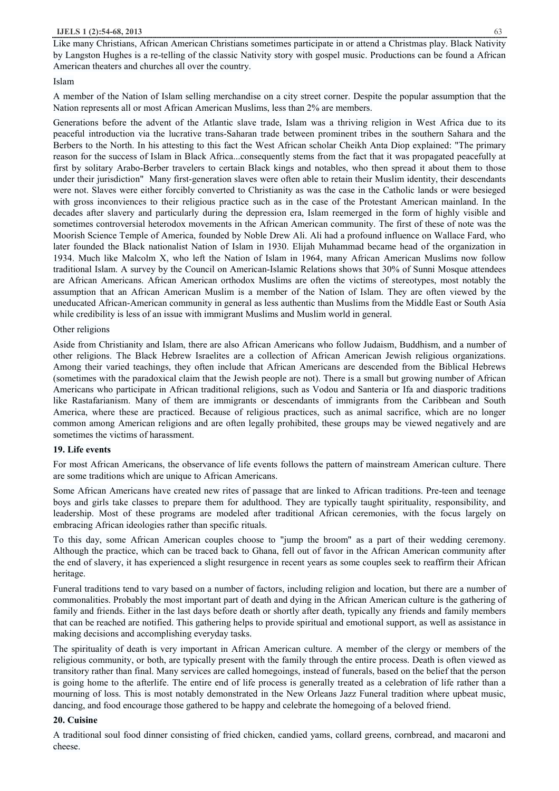Like many Christians, African American Christians sometimes participate in or attend a Christmas play. Black Nativity by Langston Hughes is a re-telling of the classic Nativity story with gospel music. Productions can be found a African American theaters and churches all over the country.

## Islam

A member of the Nation of Islam selling merchandise on a city street corner. Despite the popular assumption that the Nation represents all or most African American Muslims, less than 2% are members.

Generations before the advent of the Atlantic slave trade, Islam was a thriving religion in West Africa due to its peaceful introduction via the lucrative trans-Saharan trade between prominent tribes in the southern Sahara and the Berbers to the North. In his attesting to this fact the West African scholar Cheikh Anta Diop explained: "The primary reason for the success of Islam in Black Africa...consequently stems from the fact that it was propagated peacefully at first by solitary Arabo-Berber travelers to certain Black kings and notables, who then spread it about them to those under their jurisdiction" Many first-generation slaves were often able to retain their Muslim identity, their descendants were not. Slaves were either forcibly converted to Christianity as was the case in the Catholic lands or were besieged with gross inconviences to their religious practice such as in the case of the Protestant American mainland. In the decades after slavery and particularly during the depression era, Islam reemerged in the form of highly visible and sometimes controversial heterodox movements in the African American community. The first of these of note was the Moorish Science Temple of America, founded by Noble Drew Ali. Ali had a profound influence on Wallace Fard, who later founded the Black nationalist Nation of Islam in 1930. Elijah Muhammad became head of the organization in 1934. Much like Malcolm X, who left the Nation of Islam in 1964, many African American Muslims now follow traditional Islam. A survey by the Council on American-Islamic Relations shows that 30% of Sunni Mosque attendees are African Americans. African American orthodox Muslims are often the victims of stereotypes, most notably the assumption that an African American Muslim is a member of the Nation of Islam. They are often viewed by the uneducated African-American community in general as less authentic than Muslims from the Middle East or South Asia while credibility is less of an issue with immigrant Muslims and Muslim world in general.

## Other religions

Aside from Christianity and Islam, there are also African Americans who follow Judaism, Buddhism, and a number of other religions. The Black Hebrew Israelites are a collection of African American Jewish religious organizations. Among their varied teachings, they often include that African Americans are descended from the Biblical Hebrews (sometimes with the paradoxical claim that the Jewish people are not). There is a small but growing number of African Americans who participate in African traditional religions, such as Vodou and Santeria or Ifa and diasporic traditions like Rastafarianism. Many of them are immigrants or descendants of immigrants from the Caribbean and South America, where these are practiced. Because of religious practices, such as animal sacrifice, which are no longer common among American religions and are often legally prohibited, these groups may be viewed negatively and are sometimes the victims of harassment.

#### **19. Life events**

For most African Americans, the observance of life events follows the pattern of mainstream American culture. There are some traditions which are unique to African Americans.

Some African Americans have created new rites of passage that are linked to African traditions. Pre-teen and teenage boys and girls take classes to prepare them for adulthood. They are typically taught spirituality, responsibility, and leadership. Most of these programs are modeled after traditional African ceremonies, with the focus largely on embracing African ideologies rather than specific rituals.

To this day, some African American couples choose to "jump the broom" as a part of their wedding ceremony. Although the practice, which can be traced back to Ghana, fell out of favor in the African American community after the end of slavery, it has experienced a slight resurgence in recent years as some couples seek to reaffirm their African heritage.

Funeral traditions tend to vary based on a number of factors, including religion and location, but there are a number of commonalities. Probably the most important part of death and dying in the African American culture is the gathering of family and friends. Either in the last days before death or shortly after death, typically any friends and family members that can be reached are notified. This gathering helps to provide spiritual and emotional support, as well as assistance in making decisions and accomplishing everyday tasks.

The spirituality of death is very important in African American culture. A member of the clergy or members of the religious community, or both, are typically present with the family through the entire process. Death is often viewed as transitory rather than final. Many services are called homegoings, instead of funerals, based on the belief that the person is going home to the afterlife. The entire end of life process is generally treated as a celebration of life rather than a mourning of loss. This is most notably demonstrated in the New Orleans Jazz Funeral tradition where upbeat music, dancing, and food encourage those gathered to be happy and celebrate the homegoing of a beloved friend.

#### **20. Cuisine**

A traditional soul food dinner consisting of fried chicken, candied yams, collard greens, cornbread, and macaroni and cheese.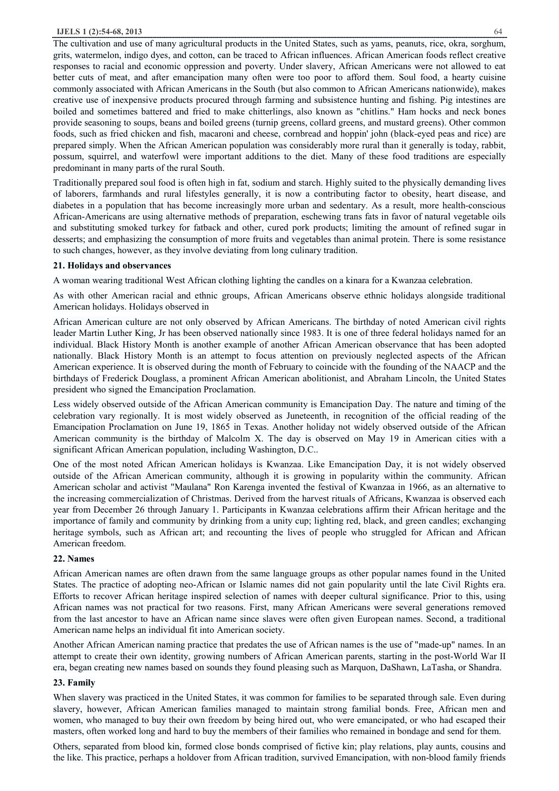The cultivation and use of many agricultural products in the United States, such as yams, peanuts, rice, okra, sorghum, grits, watermelon, indigo dyes, and cotton, can be traced to African influences. African American foods reflect creative responses to racial and economic oppression and poverty. Under slavery, African Americans were not allowed to eat better cuts of meat, and after emancipation many often were too poor to afford them. Soul food, a hearty cuisine commonly associated with African Americans in the South (but also common to African Americans nationwide), makes creative use of inexpensive products procured through farming and subsistence hunting and fishing. Pig intestines are boiled and sometimes battered and fried to make chitterlings, also known as "chitlins." Ham hocks and neck bones provide seasoning to soups, beans and boiled greens (turnip greens, collard greens, and mustard greens). Other common foods, such as fried chicken and fish, macaroni and cheese, cornbread and hoppin' john (black-eyed peas and rice) are prepared simply. When the African American population was considerably more rural than it generally is today, rabbit, possum, squirrel, and waterfowl were important additions to the diet. Many of these food traditions are especially predominant in many parts of the rural South.

Traditionally prepared soul food is often high in fat, sodium and starch. Highly suited to the physically demanding lives of laborers, farmhands and rural lifestyles generally, it is now a contributing factor to obesity, heart disease, and diabetes in a population that has become increasingly more urban and sedentary. As a result, more health-conscious African-Americans are using alternative methods of preparation, eschewing trans fats in favor of natural vegetable oils and substituting smoked turkey for fatback and other, cured pork products; limiting the amount of refined sugar in desserts; and emphasizing the consumption of more fruits and vegetables than animal protein. There is some resistance to such changes, however, as they involve deviating from long culinary tradition.

### **21. Holidays and observances**

A woman wearing traditional West African clothing lighting the candles on a kinara for a Kwanzaa celebration.

As with other American racial and ethnic groups, African Americans observe ethnic holidays alongside traditional American holidays. Holidays observed in

African American culture are not only observed by African Americans. The birthday of noted American civil rights leader Martin Luther King, Jr has been observed nationally since 1983. It is one of three federal holidays named for an individual. Black History Month is another example of another African American observance that has been adopted nationally. Black History Month is an attempt to focus attention on previously neglected aspects of the African American experience. It is observed during the month of February to coincide with the founding of the NAACP and the birthdays of Frederick Douglass, a prominent African American abolitionist, and Abraham Lincoln, the United States president who signed the Emancipation Proclamation.

Less widely observed outside of the African American community is Emancipation Day. The nature and timing of the celebration vary regionally. It is most widely observed as Juneteenth, in recognition of the official reading of the Emancipation Proclamation on June 19, 1865 in Texas. Another holiday not widely observed outside of the African American community is the birthday of Malcolm X. The day is observed on May 19 in American cities with a significant African American population, including Washington, D.C..

One of the most noted African American holidays is Kwanzaa. Like Emancipation Day, it is not widely observed outside of the African American community, although it is growing in popularity within the community. African American scholar and activist "Maulana" Ron Karenga invented the festival of Kwanzaa in 1966, as an alternative to the increasing commercialization of Christmas. Derived from the harvest rituals of Africans, Kwanzaa is observed each year from December 26 through January 1. Participants in Kwanzaa celebrations affirm their African heritage and the importance of family and community by drinking from a unity cup; lighting red, black, and green candles; exchanging heritage symbols, such as African art; and recounting the lives of people who struggled for African and African American freedom.

#### **22. Names**

African American names are often drawn from the same language groups as other popular names found in the United States. The practice of adopting neo-African or Islamic names did not gain popularity until the late Civil Rights era. Efforts to recover African heritage inspired selection of names with deeper cultural significance. Prior to this, using African names was not practical for two reasons. First, many African Americans were several generations removed from the last ancestor to have an African name since slaves were often given European names. Second, a traditional American name helps an individual fit into American society.

Another African American naming practice that predates the use of African names is the use of "made-up" names. In an attempt to create their own identity, growing numbers of African American parents, starting in the post-World War II era, began creating new names based on sounds they found pleasing such as Marquon, DaShawn, LaTasha, or Shandra.

# **23. Family**

When slavery was practiced in the United States, it was common for families to be separated through sale. Even during slavery, however, African American families managed to maintain strong familial bonds. Free, African men and women, who managed to buy their own freedom by being hired out, who were emancipated, or who had escaped their masters, often worked long and hard to buy the members of their families who remained in bondage and send for them.

Others, separated from blood kin, formed close bonds comprised of fictive kin; play relations, play aunts, cousins and the like. This practice, perhaps a holdover from African tradition, survived Emancipation, with non-blood family friends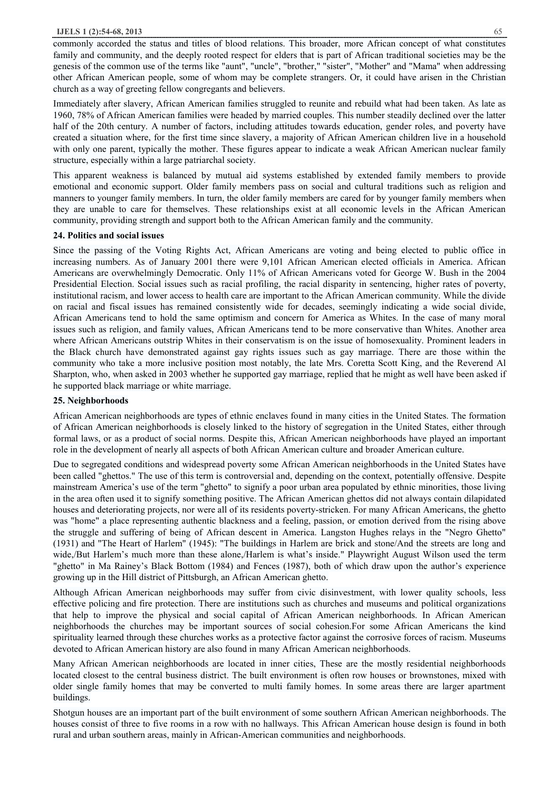commonly accorded the status and titles of blood relations. This broader, more African concept of what constitutes family and community, and the deeply rooted respect for elders that is part of African traditional societies may be the genesis of the common use of the terms like "aunt", "uncle", "brother," "sister", "Mother" and "Mama" when addressing other African American people, some of whom may be complete strangers. Or, it could have arisen in the Christian church as a way of greeting fellow congregants and believers.

Immediately after slavery, African American families struggled to reunite and rebuild what had been taken. As late as 1960, 78% of African American families were headed by married couples. This number steadily declined over the latter half of the 20th century. A number of factors, including attitudes towards education, gender roles, and poverty have created a situation where, for the first time since slavery, a majority of African American children live in a household with only one parent, typically the mother. These figures appear to indicate a weak African American nuclear family structure, especially within a large patriarchal society.

This apparent weakness is balanced by mutual aid systems established by extended family members to provide emotional and economic support. Older family members pass on social and cultural traditions such as religion and manners to younger family members. In turn, the older family members are cared for by younger family members when they are unable to care for themselves. These relationships exist at all economic levels in the African American community, providing strength and support both to the African American family and the community.

#### **24. Politics and social issues**

Since the passing of the Voting Rights Act, African Americans are voting and being elected to public office in increasing numbers. As of January 2001 there were 9,101 African American elected officials in America. African Americans are overwhelmingly Democratic. Only 11% of African Americans voted for George W. Bush in the 2004 Presidential Election. Social issues such as racial profiling, the racial disparity in sentencing, higher rates of poverty, institutional racism, and lower access to health care are important to the African American community. While the divide on racial and fiscal issues has remained consistently wide for decades, seemingly indicating a wide social divide, African Americans tend to hold the same optimism and concern for America as Whites. In the case of many moral issues such as religion, and family values, African Americans tend to be more conservative than Whites. Another area where African Americans outstrip Whites in their conservatism is on the issue of homosexuality. Prominent leaders in the Black church have demonstrated against gay rights issues such as gay marriage. There are those within the community who take a more inclusive position most notably, the late Mrs. Coretta Scott King, and the Reverend Al Sharpton, who, when asked in 2003 whether he supported gay marriage, replied that he might as well have been asked if he supported black marriage or white marriage.

#### **25. Neighborhoods**

African American neighborhoods are types of ethnic enclaves found in many cities in the United States. The formation of African American neighborhoods is closely linked to the history of segregation in the United States, either through formal laws, or as a product of social norms. Despite this, African American neighborhoods have played an important role in the development of nearly all aspects of both African American culture and broader American culture.

Due to segregated conditions and widespread poverty some African American neighborhoods in the United States have been called "ghettos." The use of this term is controversial and, depending on the context, potentially offensive. Despite mainstream America's use of the term "ghetto" to signify a poor urban area populated by ethnic minorities, those living in the area often used it to signify something positive. The African American ghettos did not always contain dilapidated houses and deteriorating projects, nor were all of its residents poverty-stricken. For many African Americans, the ghetto was "home" a place representing authentic blackness and a feeling, passion, or emotion derived from the rising above the struggle and suffering of being of African descent in America. Langston Hughes relays in the "Negro Ghetto" (1931) and "The Heart of Harlem" (1945): "The buildings in Harlem are brick and stone/And the streets are long and wide,/But Harlem's much more than these alone,/Harlem is what's inside." Playwright August Wilson used the term "ghetto" in Ma Rainey's Black Bottom (1984) and Fences (1987), both of which draw upon the author's experience growing up in the Hill district of Pittsburgh, an African American ghetto.

Although African American neighborhoods may suffer from civic disinvestment, with lower quality schools, less effective policing and fire protection. There are institutions such as churches and museums and political organizations that help to improve the physical and social capital of African American neighborhoods. In African American neighborhoods the churches may be important sources of social cohesion.For some African Americans the kind spirituality learned through these churches works as a protective factor against the corrosive forces of racism. Museums devoted to African American history are also found in many African American neighborhoods.

Many African American neighborhoods are located in inner cities, These are the mostly residential neighborhoods located closest to the central business district. The built environment is often row houses or brownstones, mixed with older single family homes that may be converted to multi family homes. In some areas there are larger apartment buildings.

Shotgun houses are an important part of the built environment of some southern African American neighborhoods. The houses consist of three to five rooms in a row with no hallways. This African American house design is found in both rural and urban southern areas, mainly in African-American communities and neighborhoods.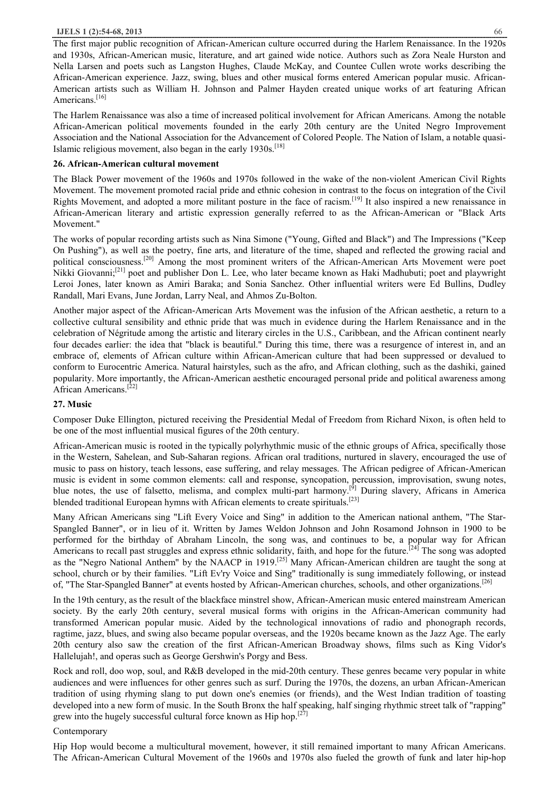The first major public recognition of African-American culture occurred during the Harlem Renaissance. In the 1920s and 1930s, African-American music, literature, and art gained wide notice. Authors such as Zora Neale Hurston and Nella Larsen and poets such as Langston Hughes, Claude McKay, and Countee Cullen wrote works describing the African-American experience. Jazz, swing, blues and other musical forms entered American popular music. African-American artists such as William H. Johnson and Palmer Hayden created unique works of art featuring African Americans.<sup>[16]</sup>

The Harlem Renaissance was also a time of increased political involvement for African Americans. Among the notable African-American political movements founded in the early 20th century are the United Negro Improvement Association and the National Association for the Advancement of Colored People. The Nation of Islam, a notable quasi-Islamic religious movement, also began in the early 1930s.<sup>[18]</sup>

## **26. African-American cultural movement**

The Black Power movement of the 1960s and 1970s followed in the wake of the non-violent American Civil Rights Movement. The movement promoted racial pride and ethnic cohesion in contrast to the focus on integration of the Civil Rights Movement, and adopted a more militant posture in the face of racism.[19] It also inspired a new renaissance in African-American literary and artistic expression generally referred to as the African-American or "Black Arts Movement."

The works of popular recording artists such as Nina Simone ("Young, Gifted and Black") and The Impressions ("Keep On Pushing"), as well as the poetry, fine arts, and literature of the time, shaped and reflected the growing racial and political consciousness.[20] Among the most prominent writers of the African-American Arts Movement were poet Nikki Giovanni;[21] poet and publisher Don L. Lee, who later became known as Haki Madhubuti; poet and playwright Leroi Jones, later known as Amiri Baraka; and Sonia Sanchez. Other influential writers were Ed Bullins, Dudley Randall, Mari Evans, June Jordan, Larry Neal, and Ahmos Zu-Bolton.

Another major aspect of the African-American Arts Movement was the infusion of the African aesthetic, a return to a collective cultural sensibility and ethnic pride that was much in evidence during the Harlem Renaissance and in the celebration of Négritude among the artistic and literary circles in the U.S., Caribbean, and the African continent nearly four decades earlier: the idea that "black is beautiful." During this time, there was a resurgence of interest in, and an embrace of, elements of African culture within African-American culture that had been suppressed or devalued to conform to Eurocentric America. Natural hairstyles, such as the afro, and African clothing, such as the dashiki, gained popularity. More importantly, the African-American aesthetic encouraged personal pride and political awareness among African Americans.<sup>[22]</sup>

# **27. Music**

Composer Duke Ellington, pictured receiving the Presidential Medal of Freedom from Richard Nixon, is often held to be one of the most influential musical figures of the 20th century.

African-American music is rooted in the typically polyrhythmic music of the ethnic groups of Africa, specifically those in the Western, Sahelean, and Sub-Saharan regions. African oral traditions, nurtured in slavery, encouraged the use of music to pass on history, teach lessons, ease suffering, and relay messages. The African pedigree of African-American music is evident in some common elements: call and response, syncopation, percussion, improvisation, swung notes, blue notes, the use of falsetto, melisma, and complex multi-part harmony.<sup>[9]</sup> During slavery, Africans in America blended traditional European hymns with African elements to create spirituals.<sup>[23]</sup>

Many African Americans sing "Lift Every Voice and Sing" in addition to the American national anthem, "The Star-Spangled Banner", or in lieu of it. Written by James Weldon Johnson and John Rosamond Johnson in 1900 to be performed for the birthday of Abraham Lincoln, the song was, and continues to be, a popular way for African Americans to recall past struggles and express ethnic solidarity, faith, and hope for the future.<sup>[24]</sup> The song was adopted as the "Negro National Anthem" by the NAACP in 1919.[25] Many African-American children are taught the song at school, church or by their families. "Lift Ev'ry Voice and Sing" traditionally is sung immediately following, or instead of, "The Star-Spangled Banner" at events hosted by African-American churches, schools, and other organizations.<sup>[26]</sup>

In the 19th century, as the result of the blackface minstrel show, African-American music entered mainstream American society. By the early 20th century, several musical forms with origins in the African-American community had transformed American popular music. Aided by the technological innovations of radio and phonograph records, ragtime, jazz, blues, and swing also became popular overseas, and the 1920s became known as the Jazz Age. The early 20th century also saw the creation of the first African-American Broadway shows, films such as King Vidor's Hallelujah!, and operas such as George Gershwin's Porgy and Bess.

Rock and roll, doo wop, soul, and R&B developed in the mid-20th century. These genres became very popular in white audiences and were influences for other genres such as surf. During the 1970s, the dozens, an urban African-American tradition of using rhyming slang to put down one's enemies (or friends), and the West Indian tradition of toasting developed into a new form of music. In the South Bronx the half speaking, half singing rhythmic street talk of "rapping" grew into the hugely successful cultural force known as Hip hop.<sup>[27]</sup>

# Contemporary

Hip Hop would become a multicultural movement, however, it still remained important to many African Americans. The African-American Cultural Movement of the 1960s and 1970s also fueled the growth of funk and later hip-hop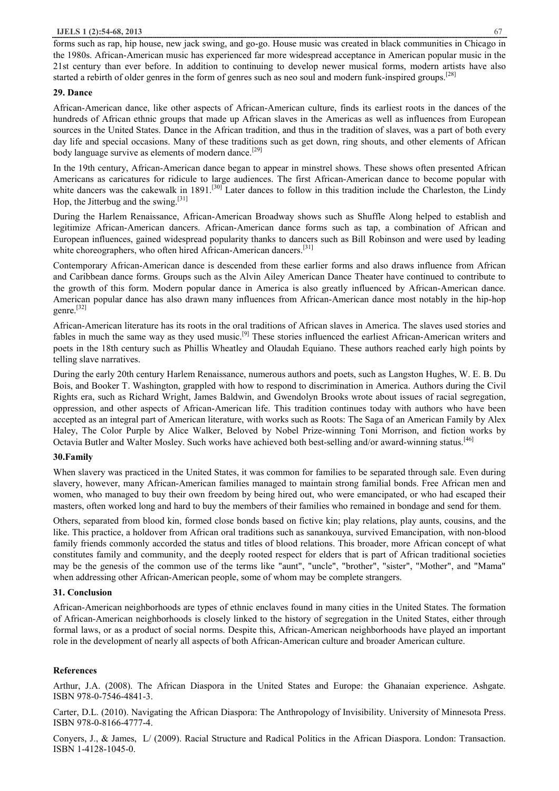forms such as rap, hip house, new jack swing, and go-go. House music was created in black communities in Chicago in the 1980s. African-American music has experienced far more widespread acceptance in American popular music in the 21st century than ever before. In addition to continuing to develop newer musical forms, modern artists have also started a rebirth of older genres in the form of genres such as neo soul and modern funk-inspired groups.[28]

## **29. Dance**

African-American dance, like other aspects of African-American culture, finds its earliest roots in the dances of the hundreds of African ethnic groups that made up African slaves in the Americas as well as influences from European sources in the United States. Dance in the African tradition, and thus in the tradition of slaves, was a part of both every day life and special occasions. Many of these traditions such as get down, ring shouts, and other elements of African body language survive as elements of modern dance.<sup>[29]</sup>

In the 19th century, African-American dance began to appear in minstrel shows. These shows often presented African Americans as caricatures for ridicule to large audiences. The first African-American dance to become popular with white dancers was the cakewalk in 1891.<sup>[30]</sup> Later dances to follow in this tradition include the Charleston, the Lindy Hop, the Jitterbug and the swing.<sup>[31]</sup>

During the Harlem Renaissance, African-American Broadway shows such as Shuffle Along helped to establish and legitimize African-American dancers. African-American dance forms such as tap, a combination of African and European influences, gained widespread popularity thanks to dancers such as Bill Robinson and were used by leading white choreographers, who often hired African-American dancers.<sup>[31]</sup>

Contemporary African-American dance is descended from these earlier forms and also draws influence from African and Caribbean dance forms. Groups such as the Alvin Ailey American Dance Theater have continued to contribute to the growth of this form. Modern popular dance in America is also greatly influenced by African-American dance. American popular dance has also drawn many influences from African-American dance most notably in the hip-hop genre.[32]

African-American literature has its roots in the oral traditions of African slaves in America. The slaves used stories and fables in much the same way as they used music.<sup>[9]</sup> These stories influenced the earliest African-American writers and poets in the 18th century such as Phillis Wheatley and Olaudah Equiano. These authors reached early high points by telling slave narratives.

During the early 20th century Harlem Renaissance, numerous authors and poets, such as Langston Hughes, W. E. B. Du Bois, and Booker T. Washington, grappled with how to respond to discrimination in America. Authors during the Civil Rights era, such as Richard Wright, James Baldwin, and Gwendolyn Brooks wrote about issues of racial segregation, oppression, and other aspects of African-American life. This tradition continues today with authors who have been accepted as an integral part of American literature, with works such as Roots: The Saga of an American Family by Alex Haley, The Color Purple by Alice Walker, Beloved by Nobel Prize-winning Toni Morrison, and fiction works by Octavia Butler and Walter Mosley. Such works have achieved both best-selling and/or award-winning status.[46]

# **30.Family**

When slavery was practiced in the United States, it was common for families to be separated through sale. Even during slavery, however, many African-American families managed to maintain strong familial bonds. Free African men and women, who managed to buy their own freedom by being hired out, who were emancipated, or who had escaped their masters, often worked long and hard to buy the members of their families who remained in bondage and send for them.

Others, separated from blood kin, formed close bonds based on fictive kin; play relations, play aunts, cousins, and the like. This practice, a holdover from African oral traditions such as sanankouya, survived Emancipation, with non-blood family friends commonly accorded the status and titles of blood relations. This broader, more African concept of what constitutes family and community, and the deeply rooted respect for elders that is part of African traditional societies may be the genesis of the common use of the terms like "aunt", "uncle", "brother", "sister", "Mother", and "Mama" when addressing other African-American people, some of whom may be complete strangers.

# **31. Conclusion**

African-American neighborhoods are types of ethnic enclaves found in many cities in the United States. The formation of African-American neighborhoods is closely linked to the history of segregation in the United States, either through formal laws, or as a product of social norms. Despite this, African-American neighborhoods have played an important role in the development of nearly all aspects of both African-American culture and broader American culture.

#### **References**

Arthur, J.A. (2008). The African Diaspora in the United States and Europe: the Ghanaian experience. Ashgate. ISBN 978-0-7546-4841-3.

Carter, D.L. (2010). Navigating the African Diaspora: The Anthropology of Invisibility. University of Minnesota Press. ISBN 978-0-8166-4777-4.

Conyers, J., & James, L/ (2009). Racial Structure and Radical Politics in the African Diaspora. London: Transaction. ISBN 1-4128-1045-0.